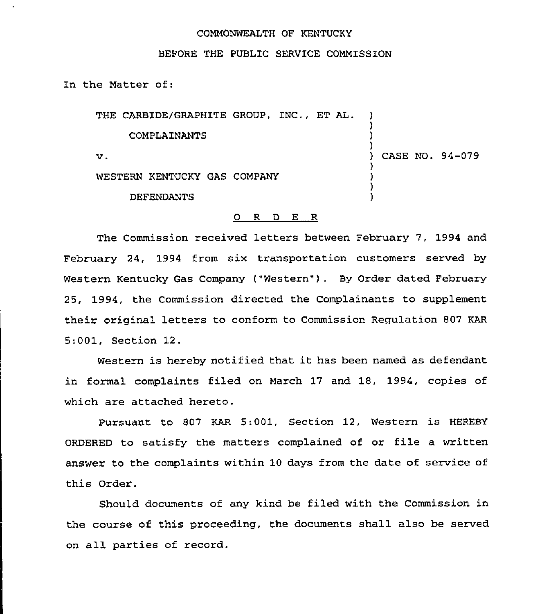#### COMMONWEALTH OF KENTUCKY

BEFORE THE PUBLIC SERVICE COMMISSION

In the Matter of:

THE CARBIDE/GRAPHITE GROUP, INC., ET AL. ) ) COMPLAINANTS ) ) ) CASE NO. 94-079  $\mathbf{v}$ . ) WESTERN KENTUCKY GAS COMPANY ) ) DEFENDANTS )

#### O R D E R

The Commission received letters between February 7, 1994 and February 24, 1994 from six transportation customers served by Western Kentucky Gas Company ("Western" ). By Order dated February 25, 1994, the Commission directed the Complainants to supplement their original letters to conform to Commission Regulation 807 KAR 5:001, Section 12.

Western is hereby notified that it has been named as defendant in formal complaints filed on March 17 and 18, 1994, copies of which are attached hereto.

Pursuant to 807 KAR 5.001, Section 12, Western is HEREBY ORDERED to satisfy the matters complained of or file a written answer to the complaints within 10 days from the date of service of this Order.

Should documents of any kind be filed with the Commission in the course of this proceeding, the documents shall also be served on all parties of record.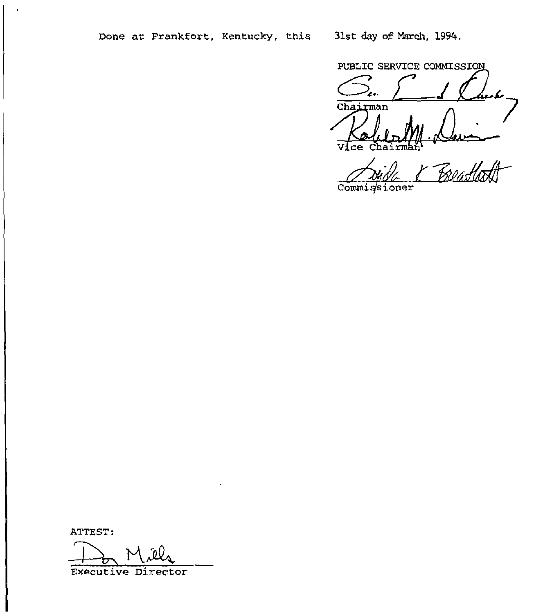PUBLIC SERVICE COMMISSION  $V$ ice Chai

.<br>Beatla<del>n</del>

Commissioner

ATTEST:

<u>Mil</u>

Executive Director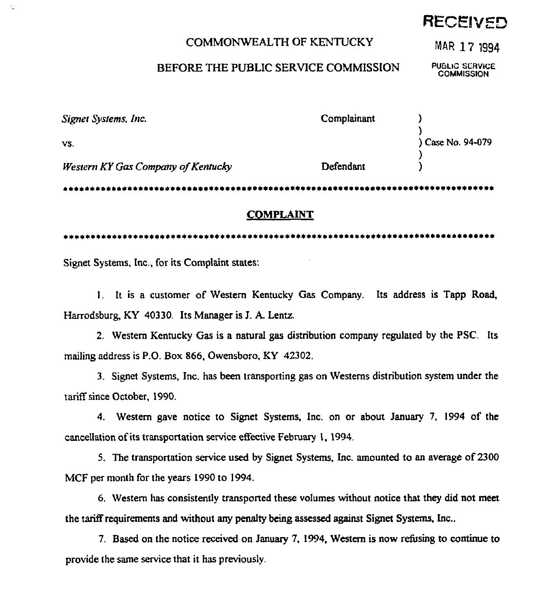## RECEIVED

## COMMONWEALTH OF KENTUCKY MAR 17 1994

BEFORE THE PUBLIC SERVICE COMMISSION

PUBLIC SERVICE<br>COMMISSION

Signet Systems. Inc. vs. Western KY Gas Company of Kentucky Complainant Defendant ) ) ) Case No. 94-079 ) )

IIII<sup>4</sup> \*I~IIII<sup>4</sup> II<sup>4</sup> IIIIIIIIIII<sup>~</sup> I~II <sup>~</sup> IIII~II<sup>~</sup> IIIIIIIIIIIltII<sup>~</sup> II~IIlt 4|<sup>~</sup>IIIII<sup>~</sup> II <sup>~</sup>II<sup>~</sup> I~I<sup>~</sup>

#### **COMPLAINT**

<sup>41</sup> <sup>I</sup> 11114144414~1111444441<sup>1</sup> lllll <sup>~</sup>14114411441<sup>~</sup> 1111<sup>~</sup> I <sup>11414</sup>~444141<sup>~</sup> 111441|411411411~I

Signet Systems, Inc,, for its Complaint states:

÷.

1. It is a customer of Western Kentucky Gas Company. Its address is Tapp Road, Harrodsburg, KY 40330. Its Manager is J. A. Lentz.

2. Western Kentucky Gas is a natural gas distribution company regulated by the PSC. Its mailing address is P.O. Box 866, Owensboro, KY 42302,

3. Signet Systems, Inc. has been transporting gas on Westerns distribution system under the tariff since October, 1990.

4. Western gave notice to Signet Systems, Inc. on or about January 7, 1994 of the cancellation of its transportation service effective February 1, 1994.

5. The transportation service used by Signet Systems, Inc. amounted to an average of 2300 MCF per month for the years 1990 to 1994.

6. Western has consistently transported these volumes without notice that they did not meet the tariff requirements and without any penalty being assessed against Signet Systems, Inc..

7. Based on the notice received on January 7, 1994, Western is now refusing to continue to provide the same service that it has previously.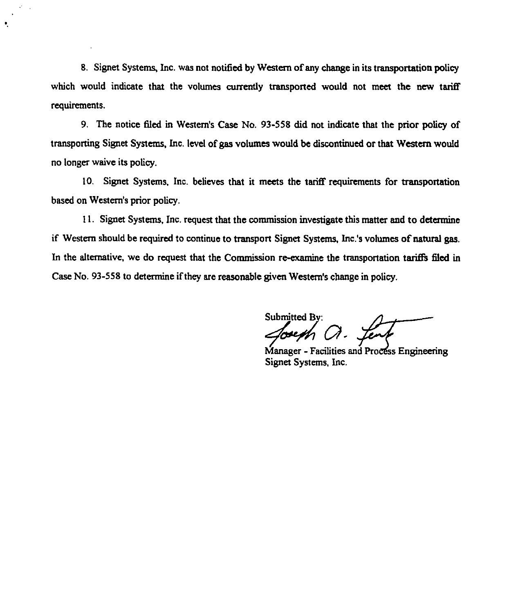8. Signet Systems, Inc. was not notified by Western of any change in its transportation policy which would indicate that the volumes currently transported would not meet the new tariff requirements.

 $\bullet$ 

9. The notice filed in Western's Case No. 93-558 did not indicate that the prior policy of transporting Signet Systems, Inc. level of gas volumes would be discontinued or that Western would no longer waive its policy.

10. Signet Systems, Inc. believes that it meets the tarifF requirements for transportation based on Western's prior policy.

11. Signet Systems, Inc. request that the commission investigate this matter and to determine if Western should be required to continue to transport Signet Systems, Inc.'s volumes of natural gas. In the alternative, we do request that the Commission re-examine the transportation tariffs filed in Case No. 93-558 to determine ifthey are reasonable given Western's change in policy.

**Submitted By:** 

Manager - Facilities and Process Engineering Signet Systems, Inc.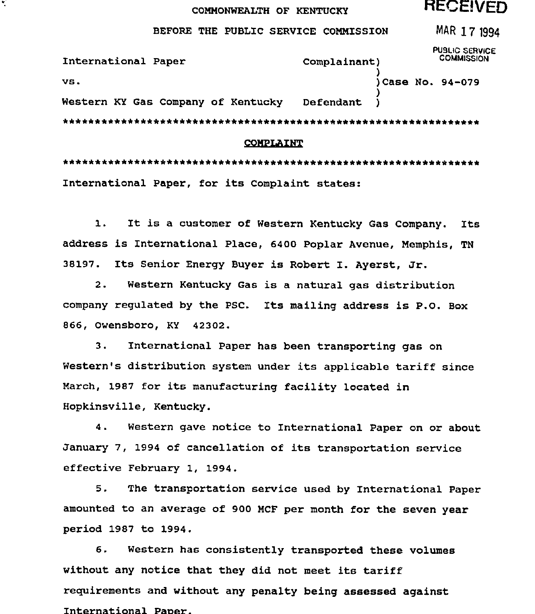## COMMONWEALTH OF KENTUCKY RECEIVED

×.

### BEFORE THE PUBLIC SERVICE COMMISSION MAR 17 1994

International Paper vs Western KY Gas Company of Kentucky PUBLIC SERVICE<br>COMMISSION Complainant) ) )Case No. 94-079 ) Defendant ) \*\*\*\*'0\*'4\*\*\*4'\*\*\*\*\*\*\*\*\*\*\*\*'0\*'k\*\*\*\*\*\*\*\*\*\*\*\*\*\*\*lk\*\*\*\*\*\*\*\*\*\*\*\*\*\*\*\*\*\*lk\*'0\*

#### COMPLAINT

\*\*\*\*\*\*\*4\*\*\*\*\*\*\*\*\*\*\*4\*\*\*\*\*\*\*\*\*\*\*\*\*\*\*\*\*\*\*\*\*\*\*4\*\*\*\*\*\*\*\*\*\*\*\*\*\*\*\*\*\*\*\* International Paper, for its Complaint states:

1. It is <sup>a</sup> customer of western Kentucky Gas Company. Its address is International Place, 6400 Poplar Avenue, Memphis, TN 38197. Its Senior Energy Buyer is Robert I. Ayerst, Jr.

2. Western Kentucky Gas is a natural gas distribution company regulated by the PSC. Its mailing address is P.O. Box 866, Owensboro, KY 42302.

3. International Paper has been transporting gas on Western's distribution system under its applicable tariff since March, 1987 for its manufacturing facility located in Hopkinsville, Kentucky.

4. Western gave notice to International Paper on or about January 7, 1994 of cancellation of its transportation service effective February 1, 1994.

5. The transportation service used by International Paper amounted to an average of 900 MCF per month for the seven year period 1987 to 1994.

6. Western has consistently transported these volumes without any notice that they did not meet its tariff requirements and without any penalty being assessed against International Paper.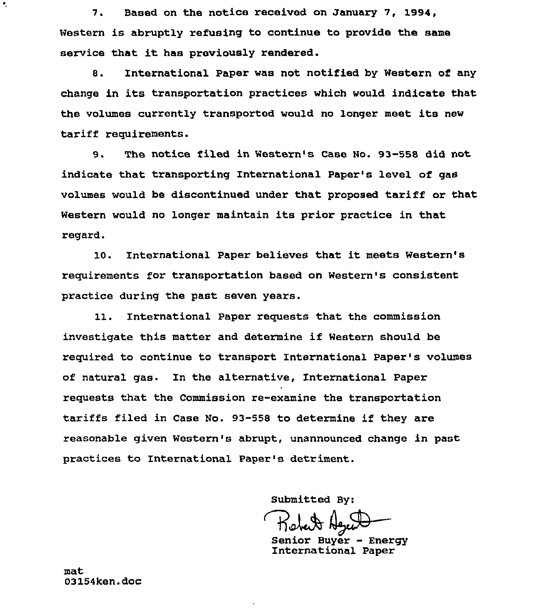7. Based on the notice received on January 7, 1994, Western is abruptly refusing to continue to provide the same service that it has previously rendered.

8. International Paper was not notified by Western of any change in its transportation practices which would indicate that the volumes currently transported would no longer meet its new tariff requirements.

9. The notice filed in Western's Case No. 93-558 did not indicate that transporting International Paper's level of gas volumes would be discontinued under that proposed tariff or that Western would no longer maintain its prior practice in that regard.

10. International paper believes that it meets western's xequirements for transportation based on Western's consistent practice during the past seven years.

11. International Paper requests that the commission investigate this matter and determine if Western should be required to continue to transport International Paper's volumes of natural gas. In the alternative, International Paper requests that the Commission re-examine the txansportation tariffs filed in Case No. 93-558 to determine if they are reasonable given Western's abrupt, unannounced change in past practices to International Paper's detriment.

Submitted By:

Senior Buyer - Energy<br>International Paper

mat 03154ken.doc

 $\bullet$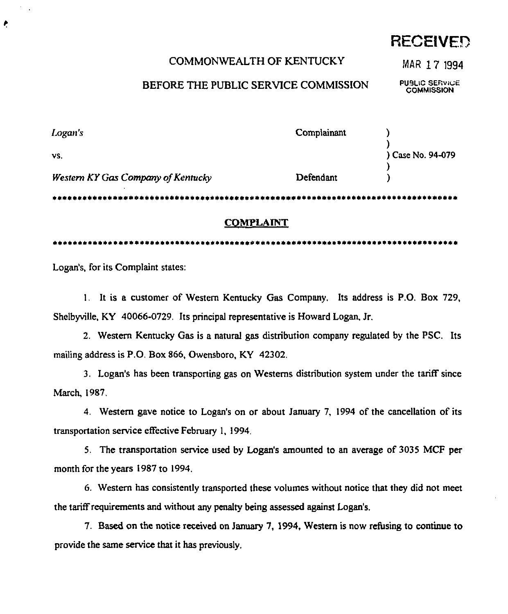## RECEIVED

## COMMONWEALTH OF KENTUCKY MAR 17 1994

## BEFORE THE PUBLIC SERVICE COMMISSION PUBLIC SERVICE

l.ogan's

vs.

٠

Complainant

) Case No. 94-079

) )

) )

# Western Ky Gas Company of Kentucky

Defendant

#### <sup>I</sup><sup>~</sup> 11111111j<sup>~</sup> j 1111~I111<sup>~</sup> j <sup>~</sup>l1111<sup>~</sup> 1111<sup>~</sup> jl <sup>~</sup>jt11j111111jl1<sup>~</sup> 111<sup>~</sup> 111111<sup>~</sup> <sup>I</sup><sup>~</sup> 11<sup>~</sup> 11<sup>~</sup> 11~jl11I<sup>~</sup> <sup>I</sup><sup>~</sup> 11~111

#### COMPLAINT

1111111<sup>~</sup> j Ij111<sup>1</sup> jl 111jl jl ljl jl <sup>~</sup> 1I<sup>~</sup> <sup>I</sup><sup>~</sup> <sup>~</sup><sup>I</sup> Ij 11111I <sup>~</sup> <sup>I</sup><sup>~</sup> 1111ljl jl jl jl 11IjIj111jl jl jl 111111<sup>~</sup> 111<sup>~</sup><sup>I</sup> III111Il 11111<sup>~</sup> 11<sup>~</sup><sup>I</sup> III

Logan's, for its Complaint states:

l. It is a customer of Western Kentucky Gas Company, Its address is P,O. Box 729, Shelbyville, KY 40066-0729. Its principal representative is Howard Logan, Jr.

2. Western Kentucky Gas is a natural gas distribution company regulated by the PSC. Its mailing address is P.O. Box 866, Owensboro, KY 42302.

3. Logan's has been transporting gas on Westerns distribution system under the tariff since March, 1987.

4. Western gave notice to Logan's on or about January 7, 1994 of the cancellation of its transportation service effective February 1, 1994.

5. The transportation service used by Logan's amounted to an average of 3035 MCF per month for the years 1987 to 1994.

6. Western has consistently transported these volumes without notice that they did not meet the tariff requirements and without any penalty being assessed against Logan's.

7. Based on the notice received on January 7, 1994, Western is now refusing to continue to provide the same service that it has previously.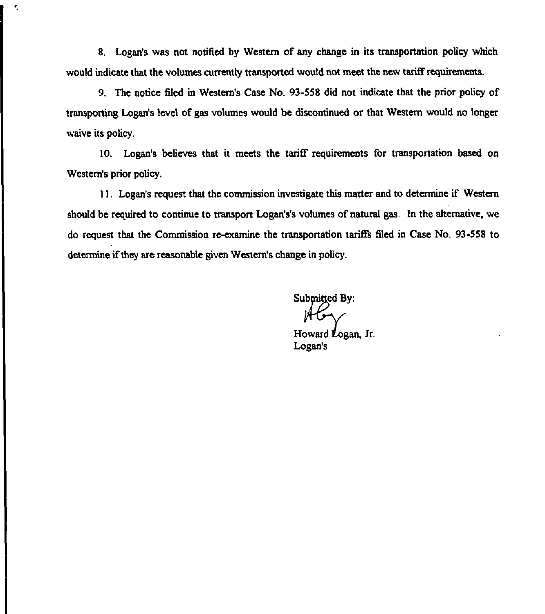8. Logan's was not notified by Western of any change in its transportation policy which would indicate that the volumes currently transported would not meet the new tariff requirements.

 $\pmb{\tau}$ 

9. The notice filed in Western's Case No. 93-558 did not indicate that the prior policy of transporting Logan's level of gas volumes would be discontinued or that Western would no longer waive its policy.

10. Logan's believes that it meets the tarifF requirements for transportation based on Western's prior policy.

11. Logan's request that the commission investigate this matter and to determine if Western should be required to continue to transport Logan's's volumes of natural gas. In the alternative, we do request that the Commission re-examine the transportation tariffs filed in Case No. 93-558 to determine if they are reasonable given Western's change in policy.

Submitted By:

Howard Logan, Jr. Logan's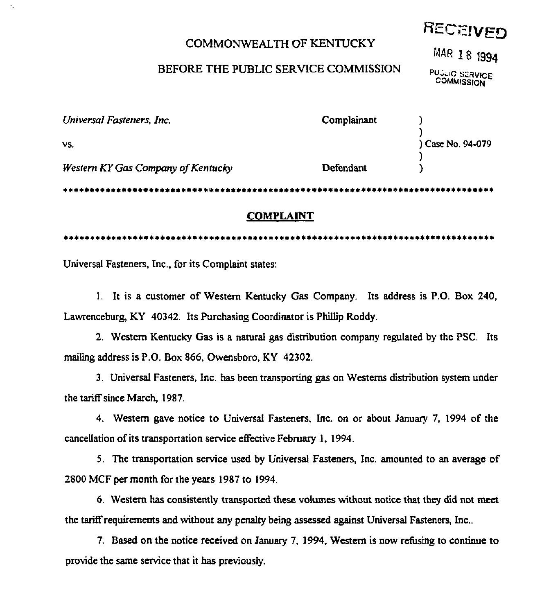#### COMMONWEALTH OF KENTUCKY

#### BEFORE THE PUBLIC SERVICE COMMISSION

| Universal Fasteners, Inc.          | Complainant |                 |
|------------------------------------|-------------|-----------------|
| VS.                                |             | Case No. 94-079 |
| Western KY Gas Company of Kentucky | Defendant   |                 |
| ****************                   |             | .               |

#### **COMPLAINT**

<sup>~</sup> 11j 111<sup>~</sup><sup>t</sup> jl <sup>1</sup>11<sup>4</sup> 111<sup>~</sup> tI 1jt 11<sup>4</sup> <sup>~</sup> 1<sup>~</sup> j <sup>4</sup> 11tII 1<sup>4</sup> 1tIt tjItj tj tI tI <sup>4</sup> jl 111<sup>~</sup> 1j <sup>4</sup>11j <sup>4</sup> <sup>~</sup> 11<sup>4</sup> I<sup>1</sup><sup>~</sup>tI <sup>~</sup> 1111I <sup>1</sup>1111~1~j 111

Universal Fasteners, Inc., for its Complaint states:

 $\ddotsc$ 

l. It is a customer of Western Kentucky Gas Company. Its address is P.O. Box 240, Lawrenceburg, KY 40342. Its Purchasing Coordinator is Phillip Roddy.

2. Western Kentucky Gas is a natural gas distribution company regulated by the PSC. Its mailing address is P.O. Box 866, Owensboro, KY 42302.

3. Universal Fasteners, Inc. has been transporting gas on Westerns distribution system under the tariff since March, 1987.

4. Western gave notice to Universal Fasteners, Inc. on or about January 7, 1994 of the cancellation of its transportation service effective February 1, 1994.

5. The transportation service used by Universal Fasteners, Inc. amounted to an average of 2800 MCF per month for the years 1987 to 1994.

6. Western has consistently transported these volumes without notice that they did not meet the tariff requirements and without any penalty being assessed against Universal Fasteners, Inc..

7. Based on the notice received on January 7, 1994, Western is now refusing to continue to provide the same service that it has previously.

RECEIVED

MAR 18 1994

PUSLIC SERVICI<br>COMMISSION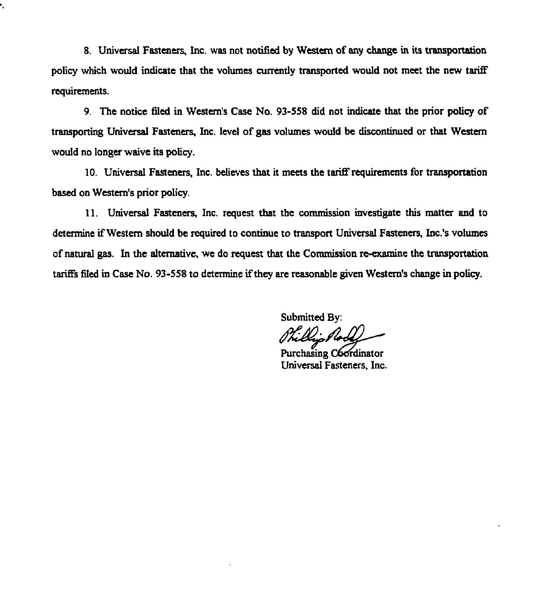8. Universal Fasteners, Inc. was not notified by Western of any change in its transportation policy which would indicate that the volumes currently transported would not meet the new tariff requirements.

9. The notice filed in Western's Case No. 93-558 did not indicate that the prior policy of transporting Universal Fasteners, Inc. level of gas volumes would be discontinued or that Western would no longer waive its policy.

10. Universal Fasteners, Inc. believes that it meets the tariff requirements for transportation based on Western's prior policy.

11. Universal Fasteners, Inc. request that the commission investigate this matter and to determine if Western should be required to continue to transport Universal Fasteners, Inc.'s volumes of natural gas. In the alternative, we do request that the Commission re-examine the transportation tariffs filed in Case No. 93-558 to determine if they are reasonable given Western's change in policy.

Submitted By:

Purchasing Coordinator Universal Fasteners, Inc.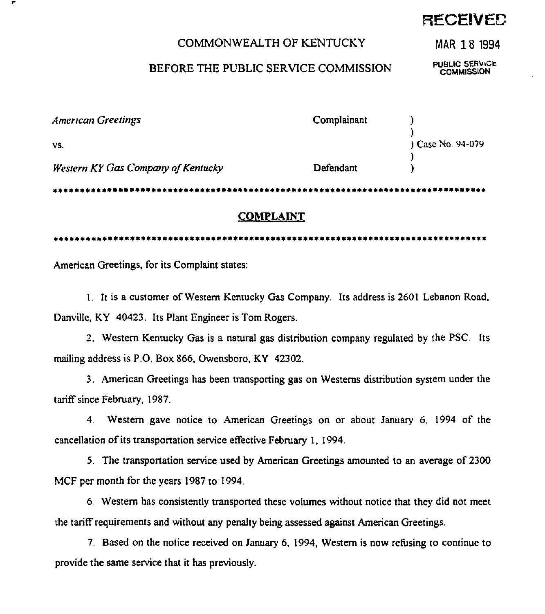## **RECEIVED**

#### COMMONWEALTH OF KENTUCKY

BEFORE THE PUBLIC SERVICE COMMISSION

MAR 18 1994

PUBLIC SERvlce COMMISSION

| <b>American Greetings</b>            | Complainant |                   |  |  |
|--------------------------------------|-------------|-------------------|--|--|
| VS.                                  |             | ) Case No. 94-079 |  |  |
| Western KY Gas Company of Kentucky   | Defendant   |                   |  |  |
| ************************************ |             |                   |  |  |

#### **COMPLAINT**

0N <sup>N</sup> I <sup>A</sup> I11Ila0110ItallII <sup>~</sup> II <sup>~</sup> <sup>1</sup>11111IN<sup>~</sup> IOII1 <sup>~</sup> 1al11 100111all\01aaa11 <sup>N</sup> I1aaa1 ~ I

American Greetings, for its Complaint states;

۳

l. It is a customer of Western Kentucky Gas Company. Its address is 2601 Lebanon Road, Danville, KY 40423. Its Plant Engineer is Tom Rogers.

2. Western Kentucky Gas is a natural gas distribution company regulated by the PSC. Its mailing address is P.O. Box 866, Owensboro, KY 42302.

3. American Greetings has been transporting gas on Westerns distribution system under the tarifF since February, 1987.

4 Western gave notice to American Greetings on or about January 6. 1994 of the cancellation of its transportation service effective February 1, 1994.

5. The transportation service used by American Greetings amounted to an average of 2300 MCF per month for the years 1987 to 1994.

6 Western has consistently transported these volumes without notice that they did not meet the tariff requirements and without any penalty being assessed against American Greetings.

7. Based on the notice received on January 6, 1994, Western is now refusing to continue to provide the same service that it has previously.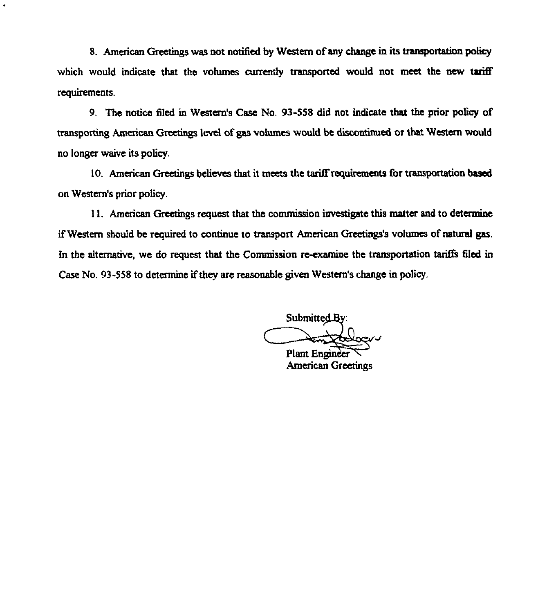8. American Greetings was not notified by Western of any change in its transportation policy which would indicate that the volumes currently transported would not meet the new tariff requirements.

9. The notice 6led in Western's Case No. 93-558 did not indicate that the prior policy of transporting American Geetings level of gas volumes would be discontinued or that Western would no longer waive its policy.

10. American Greetings believes that it meets the tariff requirements for transportation based on Western's prior policy.

11. American Greetings request that the commission investigate this matter and to determine ifWestern should be required to continue to transport American Greetings's volumes of natural gas. In the alternative, we do request that the Commission re-examine the transportation tariffs filed in Case No. 93-558 to determine if they are reasonable given Western's change in policy.

**Submitted By** 

Plant Engineer **American Greetings**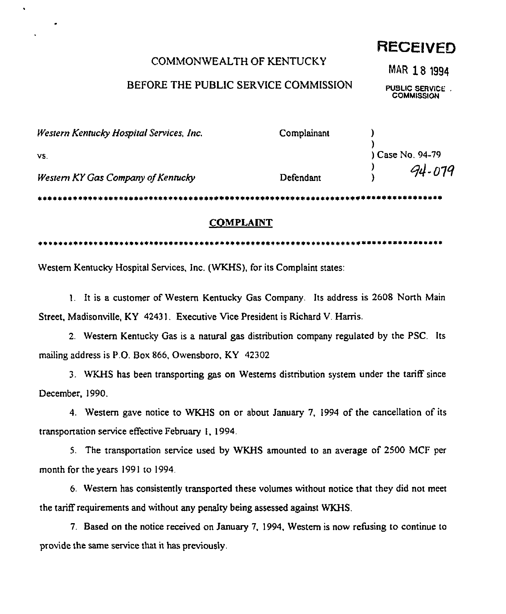#### COMMONWEALTH OF KENTUCKY

#### BEFORE THE PUBLIC SERVICE COMMISSION

MAR 18 1994

RECEIVED

PUBLIC SERVICE . **COMMISSION** 

| <b>Western Kentucky Hospital Services, Inc.</b> | Complainant |                  |
|-------------------------------------------------|-------------|------------------|
| VS.                                             |             | ) Case No. 94-79 |
| Western KY Gas Company of Kentucky              | Defendant   | 94-079           |
|                                                 |             |                  |

#### **COMPLAINT**

<sup>~</sup> <sup>0</sup> <sup>~</sup> 14Oelte1v t111<sup>~</sup> <sup>4</sup> <sup>~</sup> 11111levl 1+111<sup>~</sup> 1<sup>~</sup> II <sup>~</sup>Oell04 I <sup>~</sup>Oll vv <sup>0</sup> 1EO <sup>~</sup> 1<sup>~</sup> lee1ev II% tel II1<sup>14</sup> <sup>~</sup> <sup>~</sup> <sup>11</sup> II+5

Western Kentucky Hospital Services, Inc. (WKHS), for its Complaint states:

 $\ddot{\phantom{0}}$ 

l. It is a customer of Western Kentucky Gas Company. Its address is 2608 North Main Street, Madisonville, KY 42431. Executive Vice President is Richard V. Harris.

2. Western Kentucky Gas is a natural gas distribution company regulated by the PSC. Its mailing address is P.O, Box 866, Owensboro, KY 42302

3. WKHS has been transporting gas on Westerns distribution system under the tariff since December, 1990.

4. Western gave notice to WKHS on or about January 7, 1994 of the cancellation of its transportation service effective February I, 1994.

5. The transportation service used by WKHS amounted to an average of 2500 MCF per month for the years 1991 to 1994.

6. Western has consistently transported these volumes without notice that they did not meet the tariff requirements and without any penalty being assessed against WKHS.

7. Based on the notice received on January 7, 1994, Western is now refusing to continue to provide the same service that it has previously.